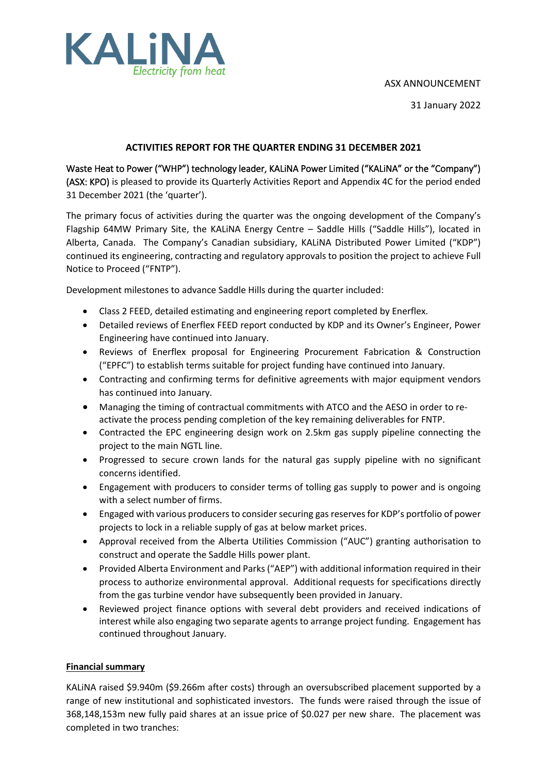## ASX ANNOUNCEMENT



31 January 2022

## **ACTIVITIES REPORT FOR THE QUARTER ENDING 31 DECEMBER 2021**

Waste Heat to Power ("WHP") technology leader, KALiNA Power Limited ("KALiNA" or the "Company") (ASX: KPO) is pleased to provide its Quarterly Activities Report and Appendix 4C for the period ended 31 December 2021 (the 'quarter').

The primary focus of activities during the quarter was the ongoing development of the Company's Flagship 64MW Primary Site, the KALiNA Energy Centre – Saddle Hills ("Saddle Hills"), located in Alberta, Canada. The Company's Canadian subsidiary, KALiNA Distributed Power Limited ("KDP") continued its engineering, contracting and regulatory approvals to position the project to achieve Full Notice to Proceed ("FNTP").

Development milestones to advance Saddle Hills during the quarter included:

- Class 2 FEED, detailed estimating and engineering report completed by Enerflex.
- Detailed reviews of Enerflex FEED report conducted by KDP and its Owner's Engineer, Power Engineering have continued into January.
- Reviews of Enerflex proposal for Engineering Procurement Fabrication & Construction ("EPFC") to establish terms suitable for project funding have continued into January.
- Contracting and confirming terms for definitive agreements with major equipment vendors has continued into January.
- Managing the timing of contractual commitments with ATCO and the AESO in order to reactivate the process pending completion of the key remaining deliverables for FNTP.
- Contracted the EPC engineering design work on 2.5km gas supply pipeline connecting the project to the main NGTL line.
- Progressed to secure crown lands for the natural gas supply pipeline with no significant concerns identified.
- Engagement with producers to consider terms of tolling gas supply to power and is ongoing with a select number of firms.
- Engaged with various producers to consider securing gas reserves for KDP's portfolio of power projects to lock in a reliable supply of gas at below market prices.
- Approval received from the Alberta Utilities Commission ("AUC") granting authorisation to construct and operate the Saddle Hills power plant.
- Provided Alberta Environment and Parks ("AEP") with additional information required in their process to authorize environmental approval. Additional requests for specifications directly from the gas turbine vendor have subsequently been provided in January.
- Reviewed project finance options with several debt providers and received indications of interest while also engaging two separate agents to arrange project funding. Engagement has continued throughout January.

## **Financial summary**

KALiNA raised \$9.940m (\$9.266m after costs) through an oversubscribed placement supported by a range of new institutional and sophisticated investors. The funds were raised through the issue of 368,148,153m new fully paid shares at an issue price of \$0.027 per new share. The placement was completed in two tranches: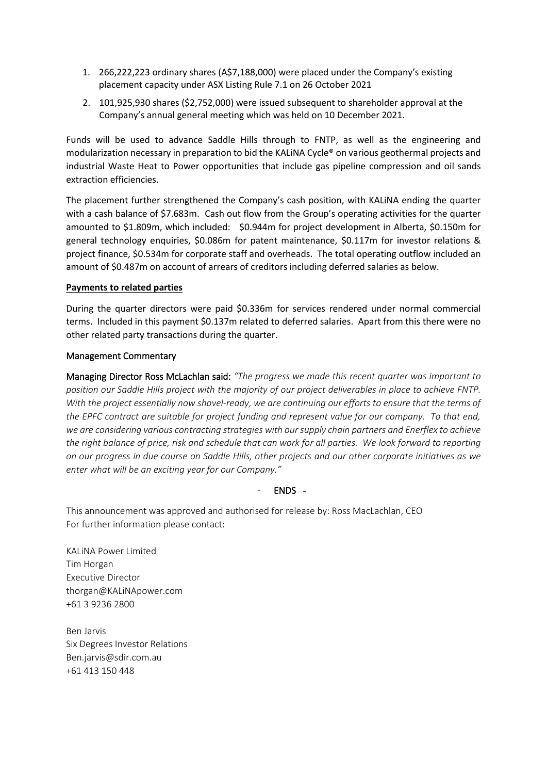- 1. 266,222,223 ordinary shares (A\$7,188,000) were placed under the Company's existing placement capacity under ASX Listing Rule 7.1 on 26 October 2021
- 2. 101,925,930 shares (\$2,752,000) were issued subsequent to shareholder approval at the Company's annual general meeting which was held on 10 December 2021.

Funds will be used to advance Saddle Hills through to FNTP, as well as the engineering and modularization necessary in preparation to bid the KALiNA Cycle® on various geothermal projects and industrial Waste Heat to Power opportunities that include gas pipeline compression and oil sands extraction efficiencies.

The placement further strengthened the Company's cash position, with KALiNA ending the quarter with a cash balance of \$7.683m. Cash out flow from the Group's operating activities for the quarter amounted to \$1.809m, which included: \$0.944m for project development in Alberta, \$0.150m for general technology enquiries, \$0.086m for patent maintenance, \$0.117m for investor relations & project finance, \$0.534m for corporate staff and overheads. The total operating outflow included an amount of \$0.487m on account of arrears of creditors including deferred salaries as below.

## **Payments to related parties**

During the quarter directors were paid \$0.336m for services rendered under normal commercial terms. Included in this payment \$0.137m related to deferred salaries. Apart from this there were no other related party transactions during the quarter.

#### Management Commentary

Managing Director Ross McLachlan said: *"The progress we made this recent quarter was important to position our Saddle Hills project with the majority of our project deliverables in place to achieve FNTP. With the project essentially now shovel-ready, we are continuing our efforts to ensure that the terms of the EPFC contract are suitable for project funding and represent value for our company. To that end, we are considering various contracting strategies with our supply chain partners and Enerflex to achieve the right balance of price, risk and schedule that can work for all parties. We look forward to reporting on our progress in due course on Saddle Hills, other projects and our other corporate initiatives as we enter what will be an exciting year for our Company."*

### - ENDS -

This announcement was approved and authorised for release by: Ross MacLachlan, CEO For further information please contact:

KALiNA Power Limited Tim Horgan Executive Director thorgan@KALiNApower.com +61 3 9236 2800

Ben Jarvis Six Degrees Investor Relations Ben.jarvis@sdir.com.au +61 413 150 448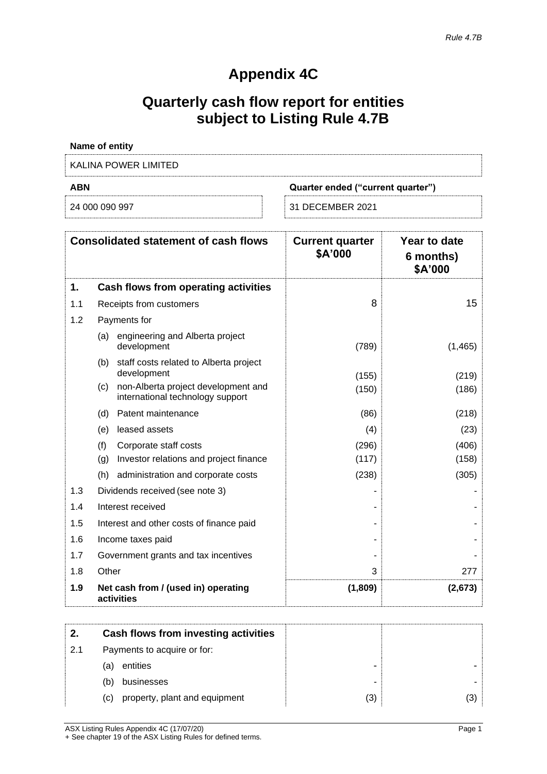# **Appendix 4C**

# **Quarterly cash flow report for entities subject to Listing Rule 4.7B**

| <b>Name of entity</b> |                                   |
|-----------------------|-----------------------------------|
| KALINA POWER LIMITED  |                                   |
| ABN                   | Quarter ended ("current quarter") |
| 24 000 090 997        | 31 DECEMBER 2021                  |

|     | <b>Consolidated statement of cash flows</b>                                    | <b>Current quarter</b><br>\$A'000 | Year to date<br>6 months)<br>\$A'000 |
|-----|--------------------------------------------------------------------------------|-----------------------------------|--------------------------------------|
| 1.  | Cash flows from operating activities                                           |                                   |                                      |
| 1.1 | Receipts from customers                                                        | 8                                 | 15                                   |
| 1.2 | Payments for                                                                   |                                   |                                      |
|     | engineering and Alberta project<br>(a)<br>development                          | (789)                             | (1, 465)                             |
|     | staff costs related to Alberta project<br>(b)<br>development                   | (155)                             | (219)                                |
|     | non-Alberta project development and<br>(c)<br>international technology support | (150)                             | (186)                                |
|     | Patent maintenance<br>(d)                                                      | (86)                              | (218)                                |
|     | leased assets<br>(e)                                                           | (4)                               | (23)                                 |
|     | (f)<br>Corporate staff costs<br>(g)<br>Investor relations and project finance  | (296)<br>(117)                    | (406)<br>(158)                       |
|     | (h)<br>administration and corporate costs                                      | (238)                             | (305)                                |
| 1.3 | Dividends received (see note 3)                                                |                                   |                                      |
| 1.4 | Interest received                                                              |                                   |                                      |
| 1.5 | Interest and other costs of finance paid                                       |                                   |                                      |
| 1.6 | Income taxes paid                                                              |                                   |                                      |
| 1.7 | Government grants and tax incentives                                           |                                   |                                      |
| 1.8 | Other                                                                          | 3                                 | 277                                  |
| 1.9 | Net cash from / (used in) operating<br>activities                              | (1,809)                           | (2,673)                              |

| 2.  | Cash flows from investing activities |     |     |
|-----|--------------------------------------|-----|-----|
| 2.1 | Payments to acquire or for:          |     |     |
|     | entities<br>(a)                      |     |     |
|     | businesses<br>(b)                    |     |     |
|     | property, plant and equipment<br>(C) | (3) | (3) |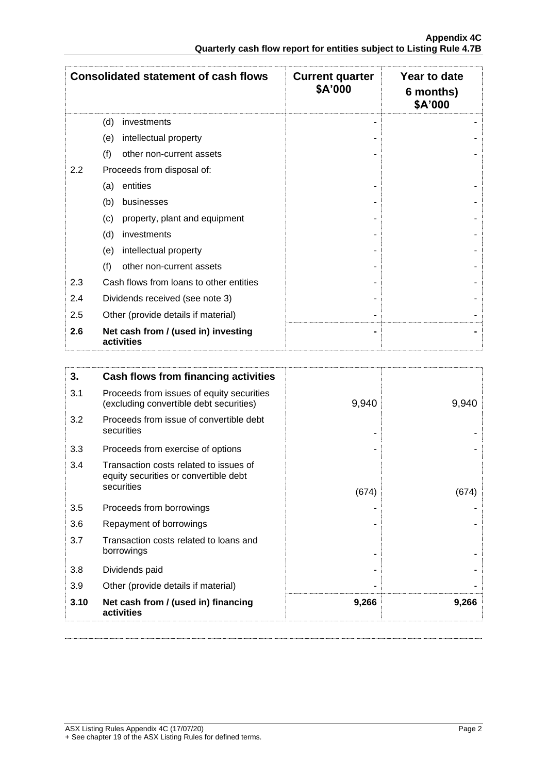|         | <b>Consolidated statement of cash flows</b>       | <b>Current quarter</b><br>\$A'000 | Year to date<br>6 months)<br>\$A'000 |
|---------|---------------------------------------------------|-----------------------------------|--------------------------------------|
|         | (d)<br>investments                                |                                   |                                      |
|         | intellectual property<br>(e)                      |                                   |                                      |
|         | (f)<br>other non-current assets                   |                                   |                                      |
| $2.2\,$ | Proceeds from disposal of:                        |                                   |                                      |
|         | entities<br>(a)                                   |                                   |                                      |
|         | (b)<br>businesses                                 |                                   |                                      |
|         | (c)<br>property, plant and equipment              |                                   |                                      |
|         | (d)<br>investments                                |                                   |                                      |
|         | intellectual property<br>(e)                      |                                   |                                      |
|         | (f)<br>other non-current assets                   |                                   |                                      |
| 2.3     | Cash flows from loans to other entities           |                                   |                                      |
| 2.4     | Dividends received (see note 3)                   |                                   |                                      |
| 2.5     | Other (provide details if material)               |                                   |                                      |
| 2.6     | Net cash from / (used in) investing<br>activities |                                   |                                      |

| 3.   | Cash flows from financing activities                                                 |       |       |
|------|--------------------------------------------------------------------------------------|-------|-------|
| 3.1  | Proceeds from issues of equity securities<br>(excluding convertible debt securities) | 9,940 | 9,940 |
| 3.2  | Proceeds from issue of convertible debt<br>securities                                |       |       |
| 3.3  | Proceeds from exercise of options                                                    |       |       |
| 3.4  | Transaction costs related to issues of<br>equity securities or convertible debt      |       |       |
|      | securities                                                                           | (674) | (674) |
| 3.5  | Proceeds from borrowings                                                             |       |       |
| 3.6  | Repayment of borrowings                                                              |       |       |
| 3.7  | Transaction costs related to loans and<br>borrowings                                 |       |       |
| 3.8  | Dividends paid                                                                       |       |       |
| 3.9  | Other (provide details if material)                                                  |       |       |
| 3.10 | Net cash from / (used in) financing<br>activities                                    | 9,266 | 9,266 |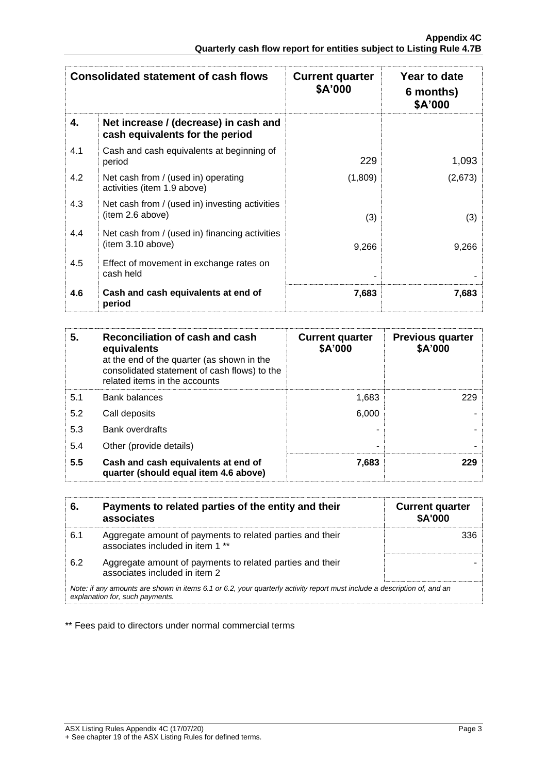|     | <b>Consolidated statement of cash flows</b>                              | <b>Current quarter</b><br>\$A'000 | Year to date<br>6 months)<br>\$A'000 |
|-----|--------------------------------------------------------------------------|-----------------------------------|--------------------------------------|
| 4.  | Net increase / (decrease) in cash and<br>cash equivalents for the period |                                   |                                      |
| 4.1 | Cash and cash equivalents at beginning of<br>period                      | 229                               | 1,093                                |
| 4.2 | Net cash from / (used in) operating<br>activities (item 1.9 above)       | (1,809)                           | (2,673)                              |
| 4.3 | Net cash from / (used in) investing activities<br>(item 2.6 above)       | (3)                               | (3)                                  |
| 4.4 | Net cash from / (used in) financing activities<br>(item 3.10 above)      | 9,266                             | 9,266                                |
| 4.5 | Effect of movement in exchange rates on<br>cash held                     |                                   |                                      |
| 4.6 | Cash and cash equivalents at end of<br>period                            | 7,683                             | 7,683                                |

| 5.  | Reconciliation of cash and cash<br>equivalents<br>at the end of the quarter (as shown in the<br>consolidated statement of cash flows) to the<br>related items in the accounts | <b>Current quarter</b><br>\$A'000 | <b>Previous quarter</b><br>\$A'000 |
|-----|-------------------------------------------------------------------------------------------------------------------------------------------------------------------------------|-----------------------------------|------------------------------------|
| 5.1 | <b>Bank balances</b>                                                                                                                                                          | 1,683                             | 229                                |
| 5.2 | Call deposits                                                                                                                                                                 | 6,000                             |                                    |
| 5.3 | <b>Bank overdrafts</b>                                                                                                                                                        |                                   |                                    |
| 5.4 | Other (provide details)                                                                                                                                                       | -                                 |                                    |
| 5.5 | Cash and cash equivalents at end of<br>quarter (should equal item 4.6 above)                                                                                                  | 7,683                             | 229                                |

| 6.                                                                                                                                                          | Payments to related parties of the entity and their<br>associates                             | <b>Current quarter</b><br><b>\$A'000</b> |
|-------------------------------------------------------------------------------------------------------------------------------------------------------------|-----------------------------------------------------------------------------------------------|------------------------------------------|
| 6.1                                                                                                                                                         | Aggregate amount of payments to related parties and their<br>associates included in item 1 ** | 336                                      |
| 6.2                                                                                                                                                         | Aggregate amount of payments to related parties and their<br>associates included in item 2    |                                          |
| Note: if any amounts are shown in items 6.1 or 6.2, your quarterly activity report must include a description of, and an<br>explanation for, such payments. |                                                                                               |                                          |

\*\* Fees paid to directors under normal commercial terms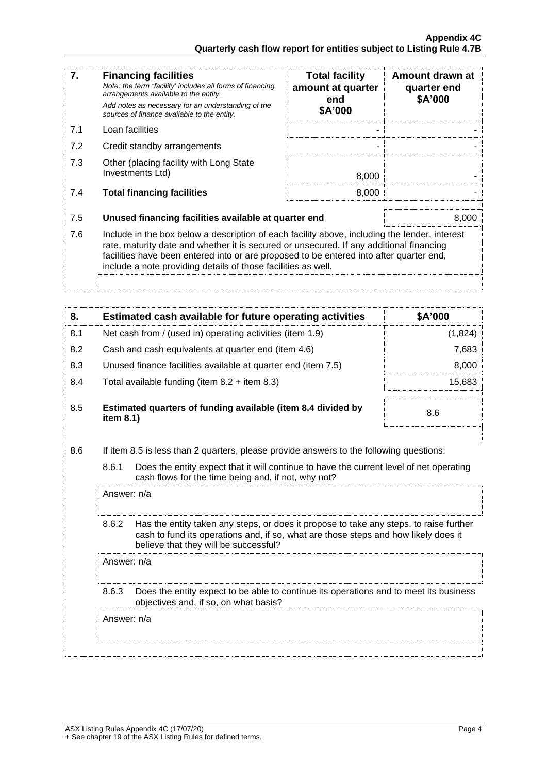| 7.  | <b>Financing facilities</b><br>Note: the term "facility' includes all forms of financing<br>arrangements available to the entity.<br>Add notes as necessary for an understanding of the<br>sources of finance available to the entity.                                                                                                               | <b>Total facility</b><br>amount at quarter<br>end<br>\$A'000 | Amount drawn at<br>quarter end<br>\$A'000 |
|-----|------------------------------------------------------------------------------------------------------------------------------------------------------------------------------------------------------------------------------------------------------------------------------------------------------------------------------------------------------|--------------------------------------------------------------|-------------------------------------------|
| 7.1 | Loan facilities                                                                                                                                                                                                                                                                                                                                      |                                                              |                                           |
| 7.2 | Credit standby arrangements                                                                                                                                                                                                                                                                                                                          |                                                              |                                           |
| 7.3 | Other (placing facility with Long State<br>Investments Ltd)                                                                                                                                                                                                                                                                                          | 8,000                                                        |                                           |
| 7.4 | <b>Total financing facilities</b>                                                                                                                                                                                                                                                                                                                    | 8,000                                                        |                                           |
| 7.5 | Unused financing facilities available at quarter end                                                                                                                                                                                                                                                                                                 |                                                              | 8,000                                     |
| 7.6 | Include in the box below a description of each facility above, including the lender, interest<br>rate, maturity date and whether it is secured or unsecured. If any additional financing<br>facilities have been entered into or are proposed to be entered into after quarter end,<br>include a note providing details of those facilities as well. |                                                              |                                           |
|     |                                                                                                                                                                                                                                                                                                                                                      |                                                              |                                           |

| 8.  | Estimated cash available for future operating activities                     | \$A'000 |
|-----|------------------------------------------------------------------------------|---------|
| 8.1 | Net cash from / (used in) operating activities (item 1.9)                    | (1,824) |
| 8.2 | Cash and cash equivalents at quarter end (item 4.6)                          | 7,683   |
| 8.3 | Unused finance facilities available at quarter end (item 7.5)                | 8,000   |
| 8.4 | Total available funding (item $8.2$ + item $8.3$ )                           | 15.683  |
| 8.5 | Estimated quarters of funding available (item 8.4 divided by<br>item $8.1$ ) | 8.6     |

- 8.6 If item 8.5 is less than 2 quarters, please provide answers to the following questions:
	- 8.6.1 Does the entity expect that it will continue to have the current level of net operating cash flows for the time being and, if not, why not?

Answer: n/a

8.6.2 Has the entity taken any steps, or does it propose to take any steps, to raise further cash to fund its operations and, if so, what are those steps and how likely does it believe that they will be successful?

Answer: n/a

8.6.3 Does the entity expect to be able to continue its operations and to meet its business objectives and, if so, on what basis?

Answer: n/a